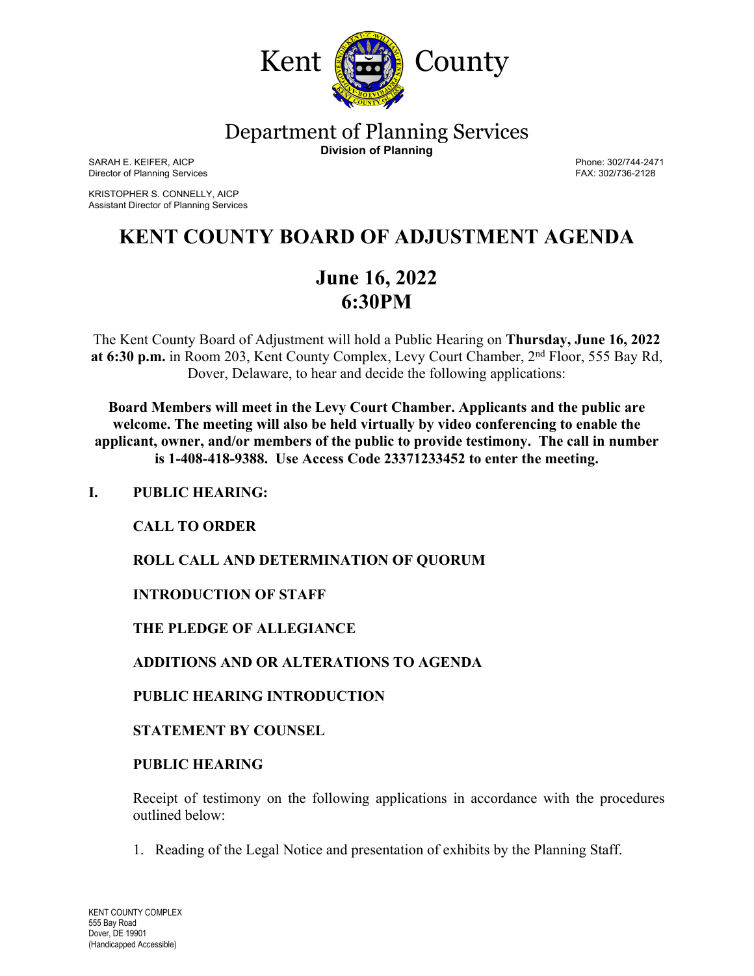

Department of Planning Services

**Division of Planning**

SARAH E. KEIFER, AICP<br>Director of Planning Services and the contract of the contract of the contract of Planning Services and the contract of the contract of Planning Services and the contract of the contract of the contra Director of Planning Services

KRISTOPHER S. CONNELLY, AICP Assistant Director of Planning Services

# **KENT COUNTY BOARD OF ADJUSTMENT AGENDA**

# **June 16, 2022 6:30PM**

The Kent County Board of Adjustment will hold a Public Hearing on **Thursday, June 16, 2022 at 6:30 p.m.** in Room 203, Kent County Complex, Levy Court Chamber, 2nd Floor, 555 Bay Rd, Dover, Delaware, to hear and decide the following applications:

**Board Members will meet in the Levy Court Chamber. Applicants and the public are welcome. The meeting will also be held virtually by video conferencing to enable the applicant, owner, and/or members of the public to provide testimony. The call in number is 1-408-418-9388. Use Access Code 23371233452 to enter the meeting.**

# **I. PUBLIC HEARING:**

 **CALL TO ORDER**

**ROLL CALL AND DETERMINATION OF QUORUM**

**INTRODUCTION OF STAFF**

 **THE PLEDGE OF ALLEGIANCE**

**ADDITIONS AND OR ALTERATIONS TO AGENDA**

**PUBLIC HEARING INTRODUCTION**

**STATEMENT BY COUNSEL**

## **PUBLIC HEARING**

Receipt of testimony on the following applications in accordance with the procedures outlined below:

1. Reading of the Legal Notice and presentation of exhibits by the Planning Staff.